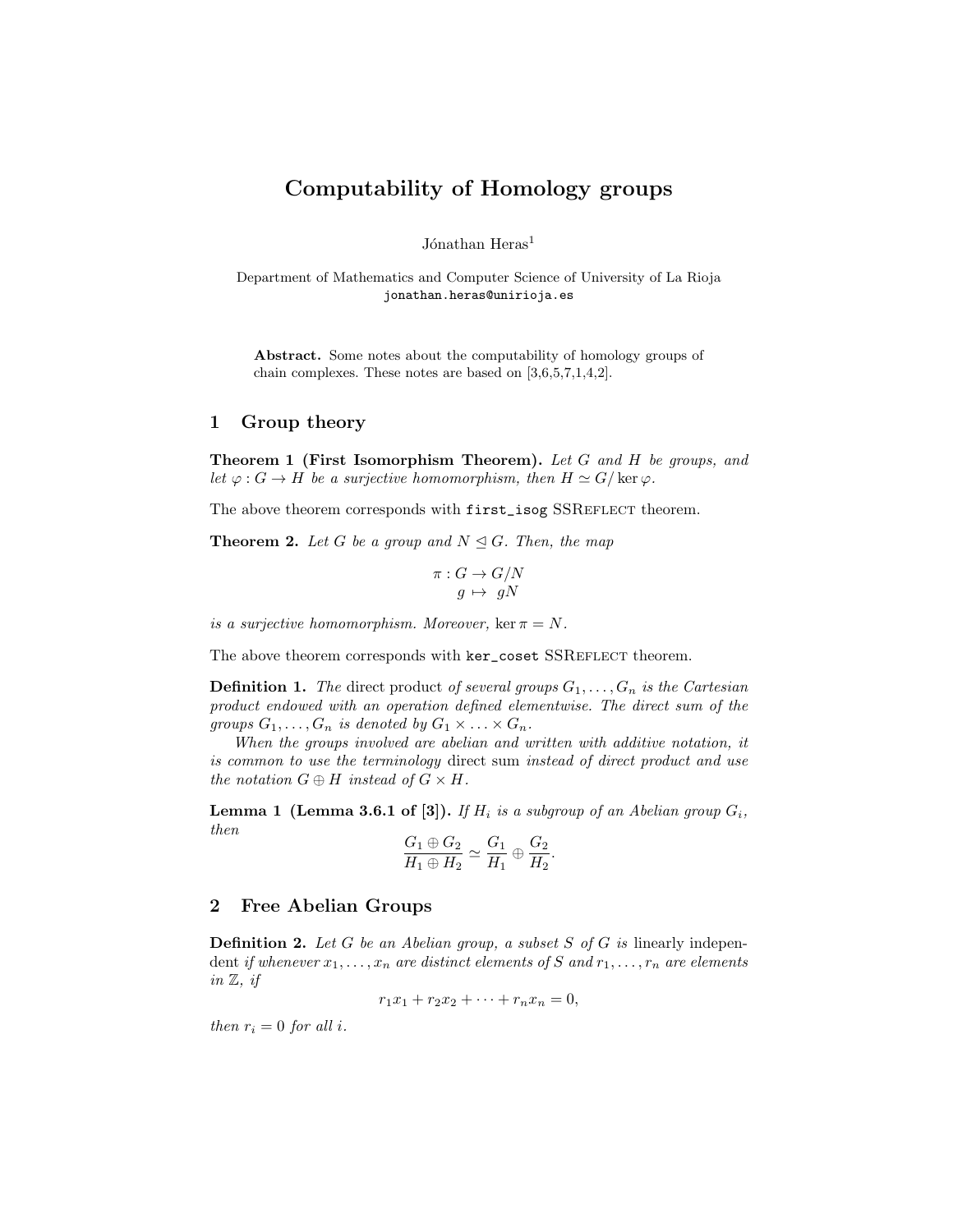# Computability of Homology groups

Jónathan  $Heras<sup>1</sup>$ 

Department of Mathematics and Computer Science of University of La Rioja jonathan.heras@unirioja.es

Abstract. Some notes about the computability of homology groups of chain complexes. These notes are based on [\[3,](#page-6-0)[6,](#page-6-1)[5,](#page-6-2)[7,](#page-6-3)[1,](#page-6-4)[4](#page-6-5)[,2\]](#page-6-6).

#### 1 Group theory

<span id="page-0-1"></span>Theorem 1 (First Isomorphism Theorem). Let G and H be groups, and let  $\varphi : G \to H$  be a surjective homomorphism, then  $H \simeq G/\ker \varphi$ .

<span id="page-0-0"></span>The above theorem corresponds with first\_isog SSREFLECT theorem.

**Theorem 2.** Let G be a group and  $N \triangleleft G$ . Then, the map

$$
\pi: G \to G/N
$$

$$
g \mapsto gN
$$

is a surjective homomorphism. Moreover, ker  $\pi = N$ .

The above theorem corresponds with ker\_coset SSREFLECT theorem.

**Definition 1.** The direct product of several groups  $G_1, \ldots, G_n$  is the Cartesian product endowed with an operation defined elementwise. The direct sum of the groups  $G_1, \ldots, G_n$  is denoted by  $G_1 \times \ldots \times G_n$ .

When the groups involved are abelian and written with additive notation, it is common to use the terminology direct sum instead of direct product and use the notation  $G \oplus H$  instead of  $G \times H$ .

**Lemma 1 (Lemma 3.6.1 of [\[3\]](#page-6-0)).** If  $H_i$  is a subgroup of an Abelian group  $G_i$ , then

$$
\frac{G_1 \oplus G_2}{H_1 \oplus H_2} \simeq \frac{G_1}{H_1} \oplus \frac{G_2}{H_2}.
$$

#### 2 Free Abelian Groups

**Definition 2.** Let G be an Abelian group, a subset S of G is linearly independent if whenever  $x_1, \ldots, x_n$  are distinct elements of S and  $r_1, \ldots, r_n$  are elements in  $\mathbb{Z}$ , if

 $r_1x_1 + r_2x_2 + \cdots + r_nx_n = 0,$ 

then  $r_i = 0$  for all i.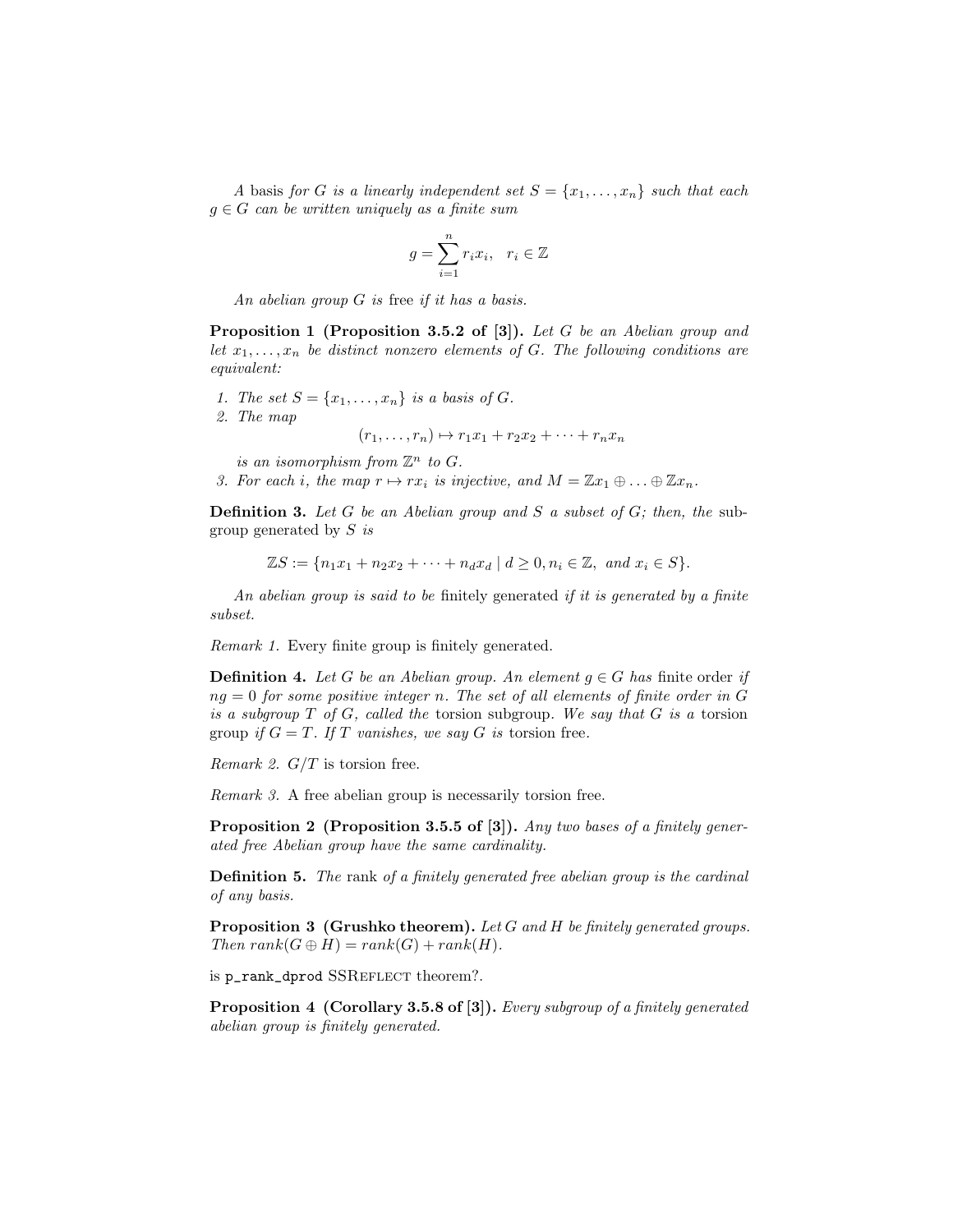A basis for G is a linearly independent set  $S = \{x_1, \ldots, x_n\}$  such that each  $g \in G$  can be written uniquely as a finite sum

$$
g = \sum_{i=1}^{n} r_i x_i, \quad r_i \in \mathbb{Z}
$$

An abelian group G is free if it has a basis.

Proposition 1 (Proposition 3.5.2 of [\[3\]](#page-6-0)). Let G be an Abelian group and let  $x_1, \ldots, x_n$  be distinct nonzero elements of G. The following conditions are equivalent:

- 1. The set  $S = \{x_1, \ldots, x_n\}$  is a basis of G.
- 2. The map

 $(r_1, \ldots, r_n) \mapsto r_1x_1 + r_2x_2 + \cdots + r_nx_n$ 

is an isomorphism from  $\mathbb{Z}^n$  to G.

3. For each i, the map  $r \mapsto rx_i$  is injective, and  $M = \mathbb{Z}x_1 \oplus \ldots \oplus \mathbb{Z}x_n$ .

**Definition 3.** Let G be an Abelian group and S a subset of G; then, the subgroup generated by  $S$  is

$$
\mathbb{Z}S := \{ n_1x_1 + n_2x_2 + \dots + n_dx_d \mid d \ge 0, n_i \in \mathbb{Z}, \text{ and } x_i \in S \}.
$$

An abelian group is said to be finitely generated if it is generated by a finite subset.

Remark 1. Every finite group is finitely generated.

<span id="page-1-2"></span>**Definition 4.** Let G be an Abelian group. An element  $g \in G$  has finite order if  $ng = 0$  for some positive integer n. The set of all elements of finite order in G is a subgroup  $T$  of  $G$ , called the torsion subgroup. We say that  $G$  is a torsion group if  $G = T$ . If T vanishes, we say G is torsion free.

Remark 2.  $G/T$  is torsion free.

<span id="page-1-0"></span>Remark 3. A free abelian group is necessarily torsion free.

Proposition 2 (Proposition 3.5.5 of [\[3\]](#page-6-0)). Any two bases of a finitely generated free Abelian group have the same cardinality.

**Definition 5.** The rank of a finitely generated free abelian group is the cardinal of any basis.

<span id="page-1-3"></span>**Proposition 3 (Grushko theorem).** Let G and H be finitely generated groups. Then  $rank(G \oplus H) = rank(G) + rank(H)$ .

<span id="page-1-1"></span>is p\_rank\_dprod SSREFLECT theorem?.

Proposition 4 (Corollary 3.5.8 of [\[3\]](#page-6-0)). Every subgroup of a finitely generated abelian group is finitely generated.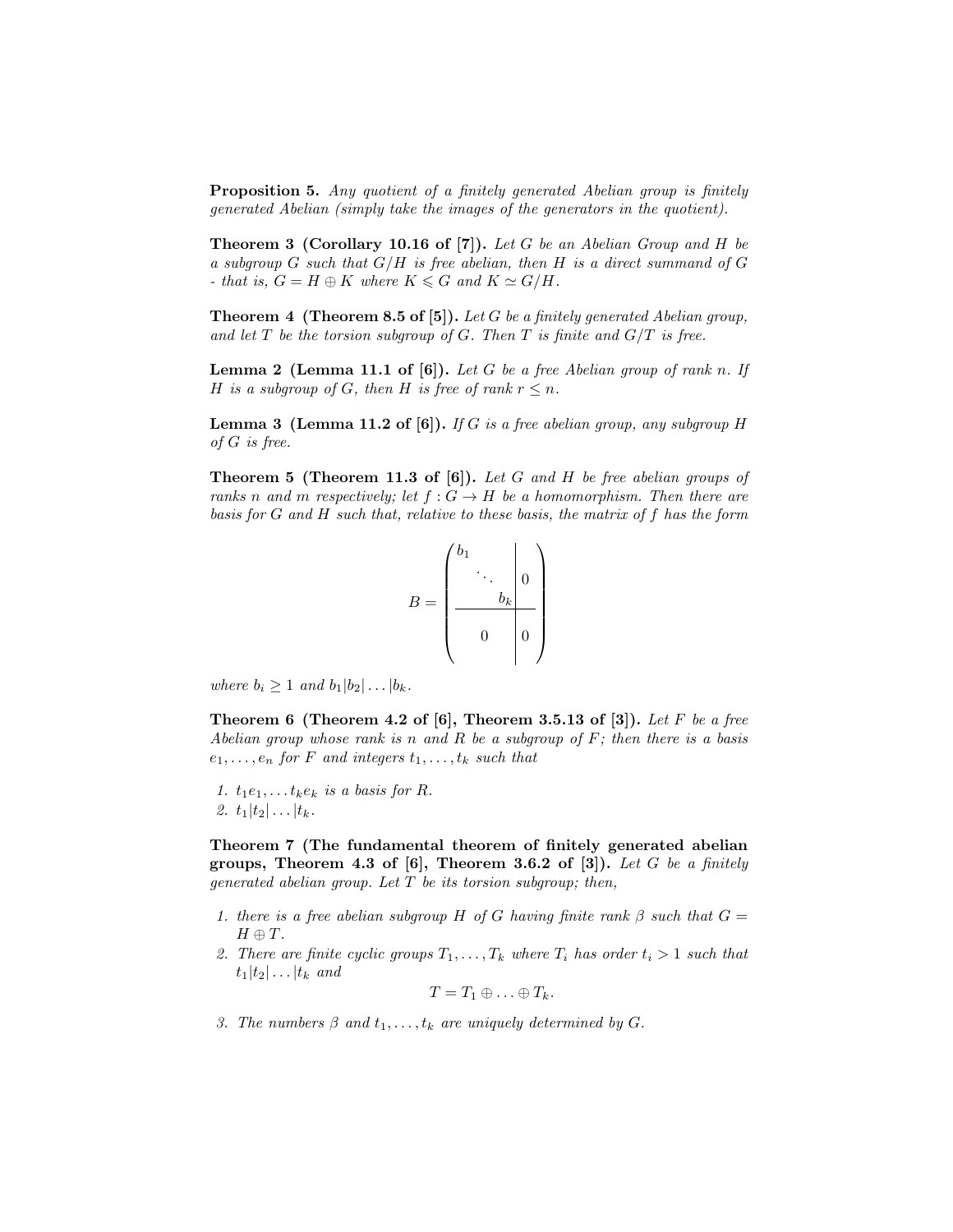<span id="page-2-0"></span>Proposition 5. Any quotient of a finitely generated Abelian group is finitely generated Abelian (simply take the images of the generators in the quotient).

<span id="page-2-3"></span>**Theorem 3 (Corollary 10.16 of [\[7\]](#page-6-3)).** Let G be an Abelian Group and H be a subgroup  $G$  such that  $G/H$  is free abelian, then  $H$  is a direct summand of  $G$ - that is,  $G = H \oplus K$  where  $K \le G$  and  $K \simeq G/H$ .

<span id="page-2-2"></span>**Theorem 4 (Theorem 8.5 of [\[5\]](#page-6-2)).** Let G be a finitely generated Abelian group, and let T be the torsion subgroup of G. Then T is finite and  $G/T$  is free.

**Lemma 2 (Lemma 11.1 of [\[6\]](#page-6-1)).** Let G be a free Abelian group of rank n. If H is a subgroup of G, then H is free of rank  $r \leq n$ .

**Lemma 3 (Lemma 11.2 of [\[6\]](#page-6-1)).** If G is a free abelian group, any subgroup H of G is free.

**Theorem 5 (Theorem 11.3 of [\[6\]](#page-6-1)).** Let G and H be free abelian groups of ranks n and m respectively; let  $f : G \to H$  be a homomorphism. Then there are basis for G and H such that, relative to these basis, the matrix of f has the form

$$
B = \begin{pmatrix} b_1 & & & \\ & \ddots & & \\ & & b_k & \\ & & & b_k \\ & & & 0 & \\ & & & & 0 \end{pmatrix}
$$

where  $b_i \geq 1$  and  $b_1|b_2| \dots |b_k$ .

Theorem 6 (Theorem 4.2 of  $[6]$ , Theorem 3.5.13 of  $[3]$ ). Let F be a free Abelian group whose rank is n and R be a subgroup of  $F$ ; then there is a basis  $e_1, \ldots, e_n$  for F and integers  $t_1, \ldots, t_k$  such that

1.  $t_1e_1, \ldots t_ke_k$  is a basis for R. 2.  $t_1|t_2| \ldots |t_k$ .

<span id="page-2-1"></span>Theorem 7 (The fundamental theorem of finitely generated abelian groups, Theorem 4.3 of  $[6]$ , Theorem 3.6.2 of  $[3]$ ). Let G be a finitely generated abelian group. Let  $T$  be its torsion subgroup; then,

- 1. there is a free abelian subgroup H of G having finite rank  $\beta$  such that  $G =$  $H \oplus T$ .
- 2. There are finite cyclic groups  $T_1, \ldots, T_k$  where  $T_i$  has order  $t_i > 1$  such that  $t_1|t_2| \ldots |t_k$  and

$$
T=T_1\oplus\ldots\oplus T_k.
$$

3. The numbers  $\beta$  and  $t_1, \ldots, t_k$  are uniquely determined by G.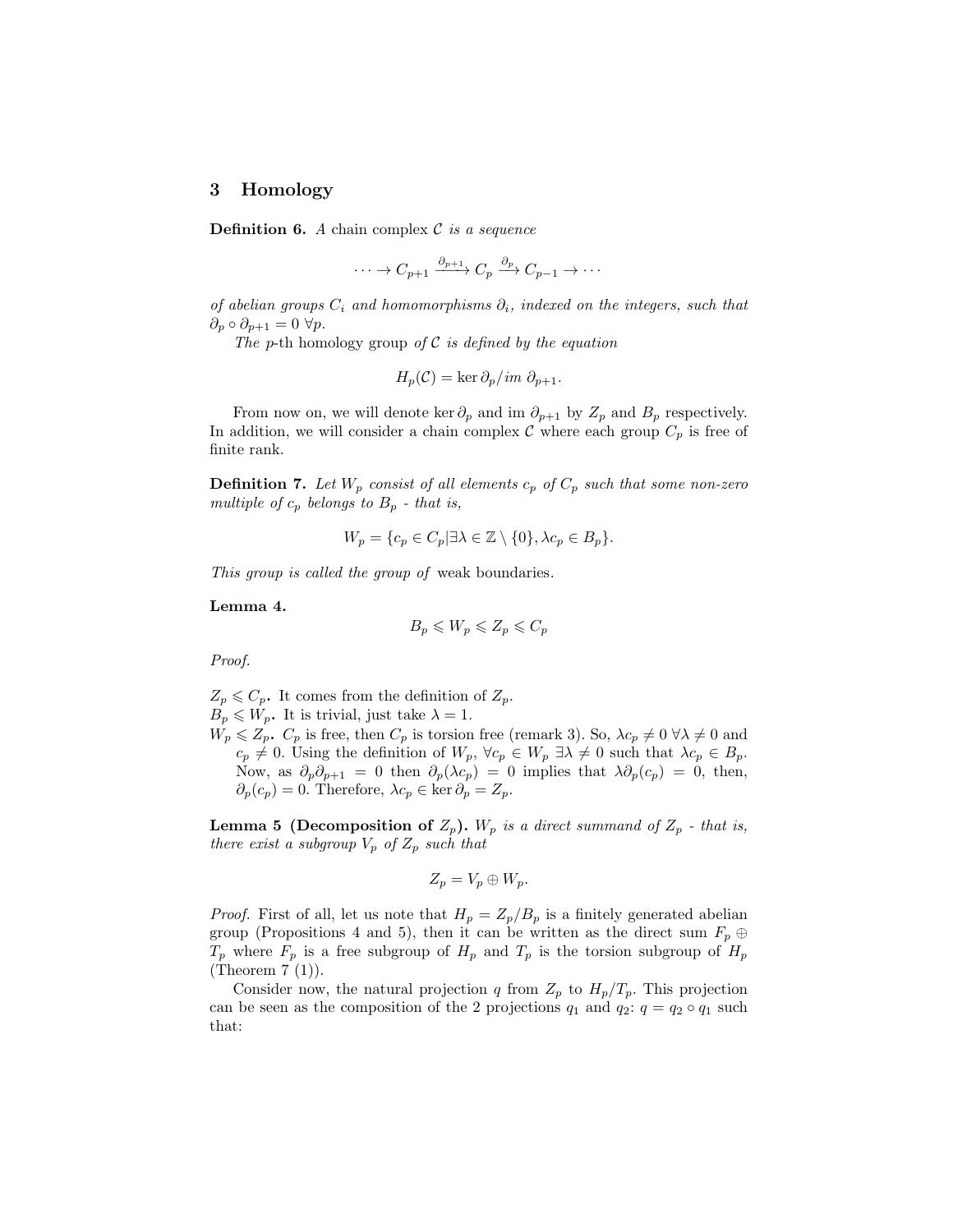### 3 Homology

**Definition 6.** A chain complex  $C$  is a sequence

$$
\cdots \to C_{p+1} \xrightarrow{\partial_{p+1}} C_p \xrightarrow{\partial_p} C_{p-1} \to \cdots
$$

of abelian groups  $C_i$  and homomorphisms  $\partial_i$ , indexed on the integers, such that  $\partial_p \circ \partial_{p+1} = 0 \,\,\forall p.$ 

The p-th homology group of  $C$  is defined by the equation

$$
H_p(\mathcal{C}) = \ker \partial_p / im \partial_{p+1}.
$$

From now on, we will denote ker  $\partial_p$  and im  $\partial_{p+1}$  by  $Z_p$  and  $B_p$  respectively. In addition, we will consider a chain complex C where each group  $C_p$  is free of finite rank.

**Definition 7.** Let  $W_p$  consist of all elements  $c_p$  of  $C_p$  such that some non-zero multiple of  $c_p$  belongs to  $B_p$  - that is,

$$
W_p = \{c_p \in C_p | \exists \lambda \in \mathbb{Z} \setminus \{0\}, \lambda c_p \in B_p \}.
$$

This group is called the group of weak boundaries.

Lemma 4.

$$
B_p\leqslant W_p\leqslant Z_p\leqslant C_p
$$

Proof.

 $Z_p \leqslant C_p$ . It comes from the definition of  $Z_p$ .  $B_p \leqslant W_p$ . It is trivial, just take  $\lambda = 1$ .

 $W_p \le Z_p$ .  $C_p$  is free, then  $C_p$  is torsion free (remark [3\)](#page-1-0). So,  $\lambda c_p \ne 0 \,\forall \lambda \ne 0$  and  $c_p \neq 0$ . Using the definition of  $W_p$ ,  $\forall c_p \in W_p \exists \lambda \neq 0$  such that  $\lambda c_p \in B_p$ . Now, as  $\partial_p \partial_{p+1} = 0$  then  $\partial_p(\lambda c_p) = 0$  implies that  $\lambda \partial_p(c_p) = 0$ , then,  $\partial_p(c_p) = 0$ . Therefore,  $\lambda c_p \in \ker \partial_p = Z_p$ .

**Lemma 5 (Decomposition of**  $Z_p$ ). W<sub>p</sub> is a direct summand of  $Z_p$  - that is, there exist a subgroup  $V_p$  of  $Z_p$  such that

$$
Z_p = V_p \oplus W_p.
$$

*Proof.* First of all, let us note that  $H_p = Z_p/B_p$  is a finitely generated abelian group (Propositions [4](#page-1-1) and [5\)](#page-2-0), then it can be written as the direct sum  $F_p \oplus$  $T_p$  where  $F_p$  is a free subgroup of  $H_p$  and  $T_p$  is the torsion subgroup of  $H_p$ (Theorem [7](#page-2-1) (1)).

Consider now, the natural projection q from  $Z_p$  to  $H_p/T_p$ . This projection can be seen as the composition of the 2 projections  $q_1$  and  $q_2$ :  $q = q_2 \circ q_1$  such that: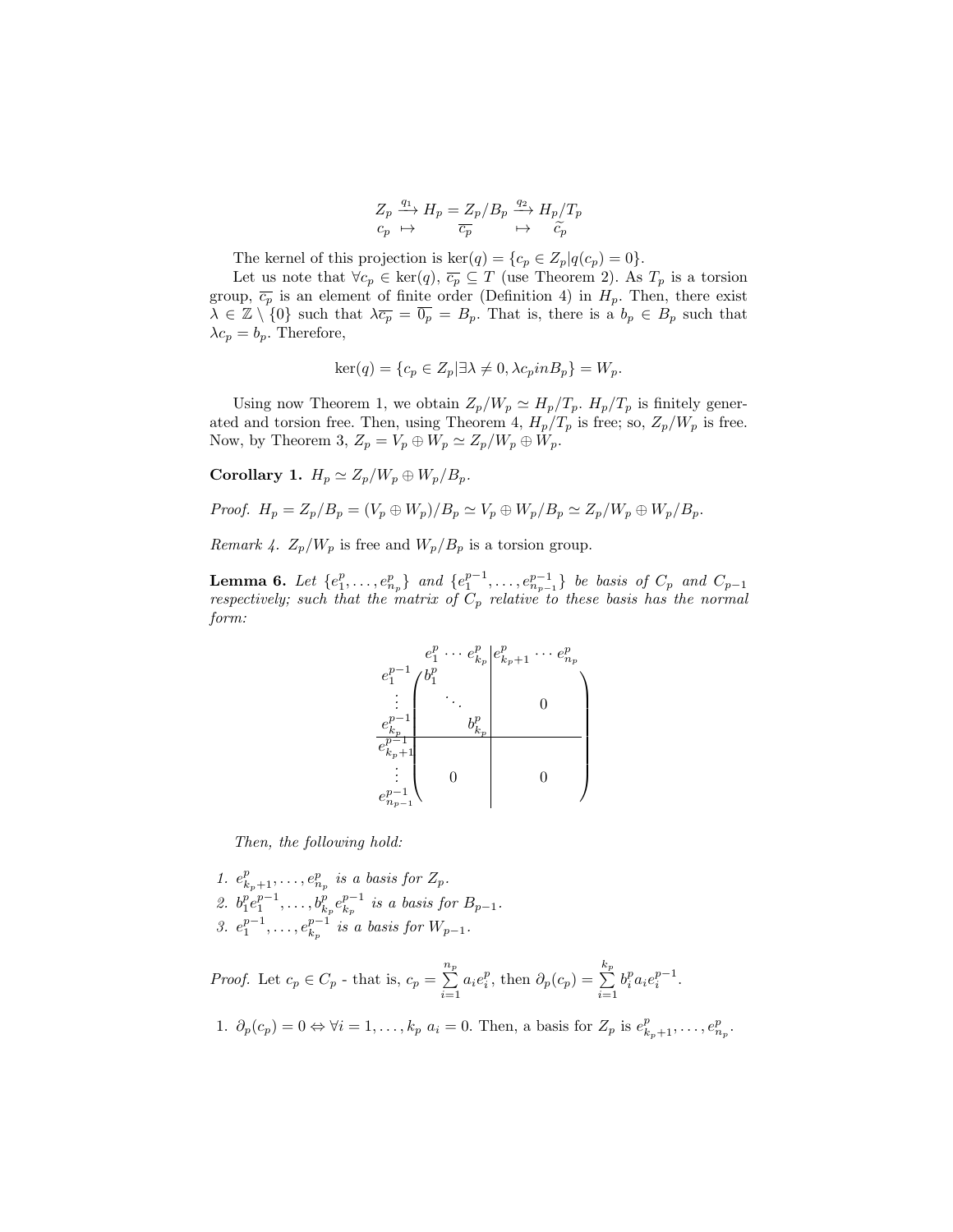$$
\begin{array}{ccc}\nZ_p \xrightarrow{q_1} H_p = Z_p/B_p \xrightarrow{q_2} H_p/T_p \\
c_p \mapsto & \overline{c_p} \xrightarrow{\hspace*{1.5cm}} & \xrightarrow{\hspace*{1.5cm}} & \widetilde{c_p}\n\end{array}
$$

The kernel of this projection is  $\text{ker}(q) = \{c_p \in Z_p | q(c_p) = 0\}.$ 

Let us note that  $\forall c_p \in \text{ker}(q)$ ,  $\overline{c_p} \subseteq T$  (use Theorem [2\)](#page-0-0). As  $T_p$  is a torsion group,  $\overline{c_p}$  is an element of finite order (Definition [4\)](#page-1-2) in  $H_p$ . Then, there exist  $\lambda \in \mathbb{Z} \setminus \{0\}$  such that  $\lambda \overline{c_p} = \overline{0_p} = B_p$ . That is, there is a  $b_p \in B_p$  such that  $\lambda c_p = b_p$ . Therefore,

$$
\ker(q) = \{c_p \in Z_p | \exists \lambda \neq 0, \lambda c_p in B_p\} = W_p.
$$

Using now Theorem [1,](#page-0-1) we obtain  $Z_p/W_p \simeq H_p/T_p$ .  $H_p/T_p$  is finitely gener-ated and torsion free. Then, using Theorem [4,](#page-2-2)  $H_p/T_p$  is free; so,  $Z_p/W_p$  is free. Now, by Theorem [3,](#page-2-3)  $Z_p = V_p \oplus W_p \simeq Z_p/W_p \oplus W_p$ .

Corollary 1.  $H_p \simeq Z_p/W_p \oplus W_p/B_p$ .

*Proof.* 
$$
H_p = Z_p/B_p = (V_p \oplus W_p)/B_p \simeq V_p \oplus W_p/B_p \simeq Z_p/W_p \oplus W_p/B_p.
$$

Remark 4.  $Z_p/W_p$  is free and  $W_p/B_p$  is a torsion group.

<span id="page-4-0"></span>**Lemma 6.** Let  $\{e_1^p, \ldots, e_{n_p}^p\}$  and  $\{e_1^{p-1}, \ldots, e_{n_{p-1}}^{p-1}\}$  be basis of  $C_p$  and  $C_{p-1}$ respectively; such that the matrix of  $C_p$  relative to these basis has the normal form:

$$
e_1^{p-1} \n\begin{pmatrix}\ne_1^p & \cdots & e_{k_p}^p & e_{k_p+1}^p & \cdots & e_{n_p}^p \\
e_1^{p-1} & b_1^p & & & \\
\vdots & \ddots & & & & \\
e_{k_p}^{p-1} & & & & \\
\vdots & & & & \\
e_{k_p+1}^{p-1} & & & \\
\vdots & & & & \\
e_{n_p-1}^{p-1} & & & \\
0 & & & & \\
\end{pmatrix}
$$

Then, the following hold:

1.  $e_{k_p+1}^p, \ldots, e_{n_p}^p$  is a basis for  $Z_p$ . 2.  $b_1^p e_1^{p-1}, \ldots, b_{k_p}^p e_{k_p}^{p-1}$  is a basis for  $B_{p-1}$ . 3.  $e_1^{p-1}, \ldots, e_{k_p}^{p-1}$  is a basis for  $W_{p-1}$ .

*Proof.* Let  $c_p \in C_p$  - that is,  $c_p = \sum^{n_p}$  $\sum_{i=1}^{n_p} a_i e_i^p$ , then  $\partial_p(c_p) = \sum_{i=1}^{k_p}$  $i=1$  $b_i^p a_i e_i^{p-1}.$ 

1. 
$$
\partial_p(c_p) = 0 \Leftrightarrow \forall i = 1, ..., k_p \ a_i = 0
$$
. Then, a basis for  $Z_p$  is  $e_{k_p+1}^p, ..., e_{n_p}^p$ .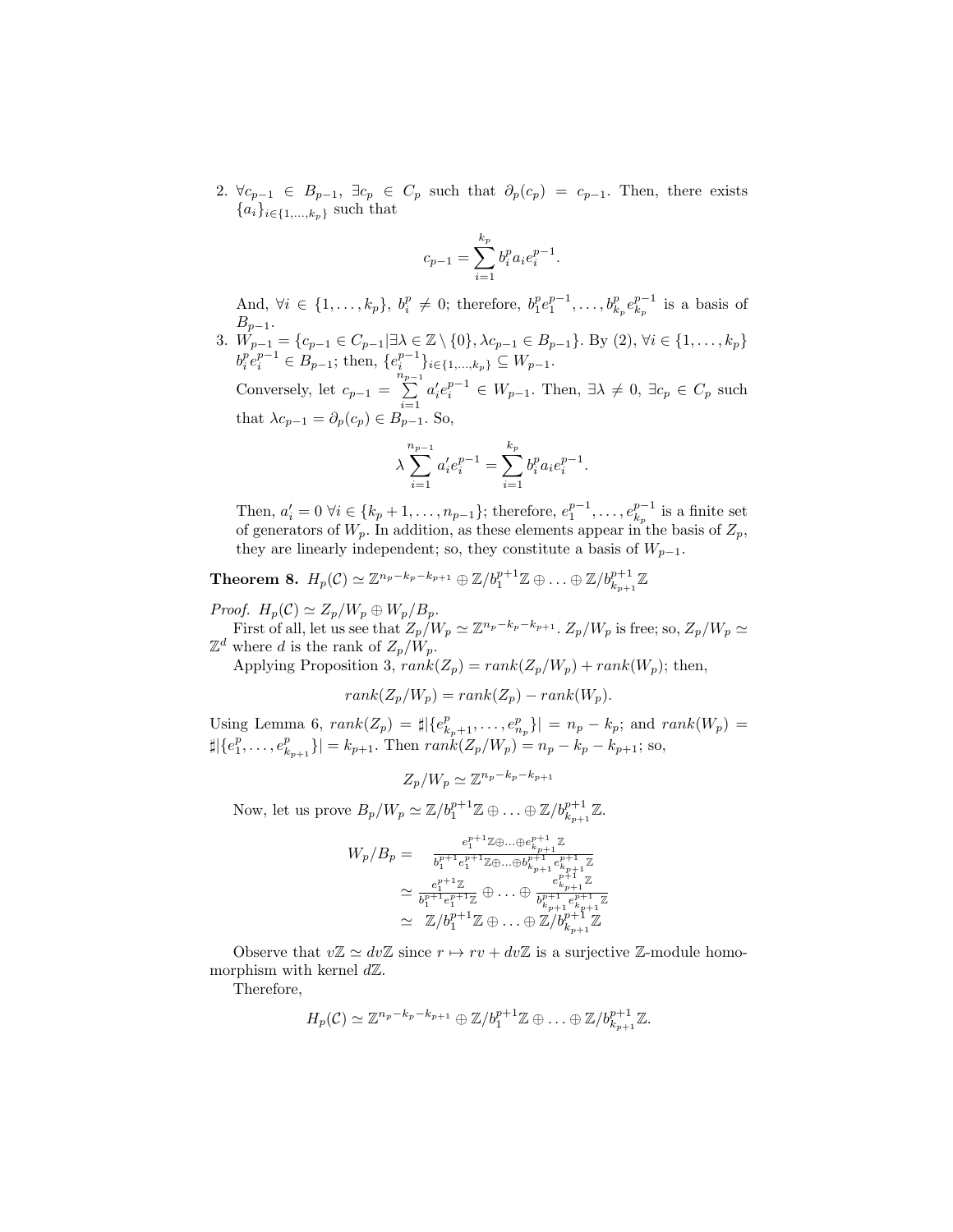2.  $\forall c_{p-1} \in B_{p-1}, \exists c_p \in C_p$  such that  $\partial_p(c_p) = c_{p-1}$ . Then, there exists  ${a_i}_{i \in \{1,...,k_p\}}$  such that

$$
c_{p-1} = \sum_{i=1}^{k_p} b_i^p a_i e_i^{p-1}.
$$

And,  $\forall i \in \{1, ..., k_p\}, b_i^p \neq 0$ ; therefore,  $b_1^p e_1^{p-1}, ..., b_{k_p}^p e_{k_p}^{p-1}$  is a basis of  $B_{p-1}$ .

3.  $\hat{W}_{p-1} = \{c_{p-1} \in C_{p-1} | \exists \lambda \in \mathbb{Z} \setminus \{0\}, \lambda c_{p-1} \in B_{p-1}\}.$  By (2),  $\forall i \in \{1, ..., k_p\}$  $b_i^p e_i^{p-1} \in B_{p-1}$ ; then,  $\{e_i^{p-1}\}_{i \in \{1,...,k_p\}} \subseteq W_{p-1}$ .

Conversely, let  $c_{p-1} = \sum_{n=1}^{n_{p-1}}$  $i=1$  $a_i'e_i^{p-1} \in W_{p-1}$ . Then,  $\exists \lambda \neq 0, \exists c_p \in C_p$  such that  $\lambda c_{p-1} = \partial_p(c_p) \in B_{p-1}$ . So,

$$
\lambda \sum_{i=1}^{n_{p-1}} a'_i e_i^{p-1} = \sum_{i=1}^{k_p} b_i^p a_i e_i^{p-1}.
$$

Then,  $a'_i = 0 \ \forall i \in \{k_p + 1, \ldots, n_{p-1}\};$  therefore,  $e_1^{p-1}, \ldots, e_{k_p}^{p-1}$  is a finite set of generators of  $W_p$ . In addition, as these elements appear in the basis of  $Z_p$ , they are linearly independent; so, they constitute a basis of  $W_{p-1}$ .

 $\textbf{Theorem 8.} \ \ H_p(\mathcal{C}) \simeq \mathbb{Z}^{n_p-k_p-k_{p+1}} \oplus \mathbb{Z}/b_1^{p+1} \mathbb{Z} \oplus \ldots \oplus \mathbb{Z}/b_{k_{p+1}}^{p+1} \mathbb{Z}$ 

*Proof.*  $H_p(\mathcal{C}) \simeq Z_p/W_p \oplus W_p/B_p.$ 

First of all, let us see that  $Z_p/W_p \simeq \mathbb{Z}^{n_p-k_p-k_{p+1}}$ .  $Z_p/W_p$  is free; so,  $Z_p/W_p \simeq$  $\mathbb{Z}^d$  where d is the rank of  $Z_p/\hat{W}_p$ .

Applying Proposition [3,](#page-1-3)  $rank(Z_p) = rank(Z_p/W_p) + rank(W_p)$ ; then,

$$
rank(Z_p/W_p) = rank(Z_p) - rank(W_p).
$$

Using Lemma [6,](#page-4-0)  $rank(Z_p) = \sharp |\{e_{k_p+1}^p, \ldots, e_{n_p}^p\}| = n_p - k_p$ ; and  $rank(W_p) =$  $\sharp |\{e_1^p, \ldots, e_{k_{p+1}}^p\}| = k_{p+1}$ . Then  $rank(Z_p/W_p) = n_p - k_p - k_{p+1}$ ; so,

$$
Z_p/W_p \simeq \mathbb{Z}^{n_p - k_p - k_{p+1}}
$$

Now, let us prove  $B_p/W_p \simeq \mathbb{Z}/b_1^{p+1}\mathbb{Z} \oplus \ldots \oplus \mathbb{Z}/b_{k_{p+1}}^{p+1}\mathbb{Z}$ .

$$
W_p/B_p = \frac{e_1^{p+1}\mathbb{Z}\oplus\ldots\oplus e_{k_{p+1}}^{p+1}\mathbb{Z}}{b_1^{p+1}e_1^{p+1}\mathbb{Z}\oplus\ldots\oplus b_{k_{p+1}}^{p+1}e_{k_{p+1}}^{p+1}\mathbb{Z}}
$$
  

$$
\simeq \frac{e_1^{p+1}\mathbb{Z}}{b_1^{p+1}e_1^{p+1}\mathbb{Z}} \oplus \ldots \oplus \frac{e_{k_{p+1}}^{p+1}\mathbb{Z}}{b_{k_{p+1}}^{p+1}e_{k_{p+1}}^{p+1}\mathbb{Z}}
$$
  

$$
\simeq \mathbb{Z}/b_1^{p+1}\mathbb{Z} \oplus \ldots \oplus \mathbb{Z}/b_{k_{p+1}}^{p+1}\mathbb{Z}
$$

Observe that  $v\mathbb{Z} \simeq dv\mathbb{Z}$  since  $r \mapsto rv + dv\mathbb{Z}$  is a surjective  $\mathbb{Z}$ -module homomorphism with kernel  $d\mathbb{Z}$ .

Therefore,

$$
H_p(\mathcal{C}) \simeq \mathbb{Z}^{n_p - k_p - k_{p+1}} \oplus \mathbb{Z}/b_1^{p+1} \mathbb{Z} \oplus \ldots \oplus \mathbb{Z}/b_{k_{p+1}}^{p+1} \mathbb{Z}.
$$